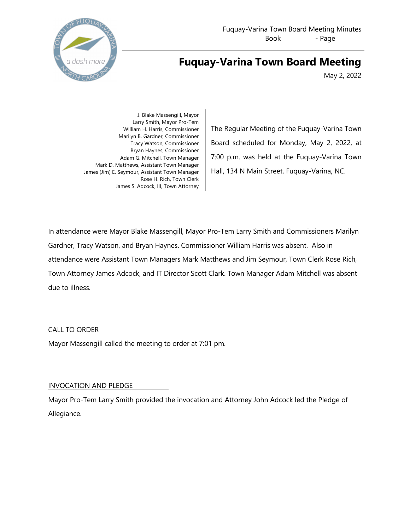

# **Fuquay-Varina Town Board Meeting**

May 2, 2022

J. Blake Massengill, Mayor Larry Smith, Mayor Pro-Tem William H. Harris, Commissioner Marilyn B. Gardner, Commissioner Tracy Watson, Commissioner Bryan Haynes, Commissioner Adam G. Mitchell, Town Manager Mark D. Matthews, Assistant Town Manager James (Jim) E. Seymour, Assistant Town Manager Rose H. Rich, Town Clerk James S. Adcock, III, Town Attorney

The Regular Meeting of the Fuquay-Varina Town Board scheduled for Monday, May 2, 2022, at 7:00 p.m. was held at the Fuquay-Varina Town Hall, 134 N Main Street, Fuquay-Varina, NC.

In attendance were Mayor Blake Massengill, Mayor Pro-Tem Larry Smith and Commissioners Marilyn Gardner, Tracy Watson, and Bryan Haynes. Commissioner William Harris was absent. Also in attendance were Assistant Town Managers Mark Matthews and Jim Seymour, Town Clerk Rose Rich, Town Attorney James Adcock, and IT Director Scott Clark. Town Manager Adam Mitchell was absent due to illness.

CALL TO ORDER

Mayor Massengill called the meeting to order at 7:01 pm.

# INVOCATION AND PLEDGE

Mayor Pro-Tem Larry Smith provided the invocation and Attorney John Adcock led the Pledge of Allegiance.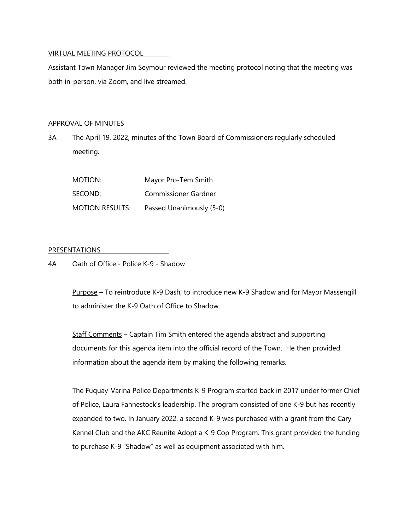## VIRTUAL MEETING PROTOCOL

Assistant Town Manager Jim Seymour reviewed the meeting protocol noting that the meeting was both in-person, via Zoom, and live streamed.

### APPROVAL OF MINUTES

3A The April 19, 2022, minutes of the Town Board of Commissioners regularly scheduled meeting.

| MOTION:                | Mayor Pro-Tem Smith      |
|------------------------|--------------------------|
| SECOND:                | Commissioner Gardner     |
| <b>MOTION RESULTS:</b> | Passed Unanimously (5-0) |

## PRESENTATIONS

4A Oath of Office - Police K-9 - Shadow

Purpose – To reintroduce K-9 Dash, to introduce new K-9 Shadow and for Mayor Massengill to administer the K-9 Oath of Office to Shadow.

Staff Comments – Captain Tim Smith entered the agenda abstract and supporting documents for this agenda item into the official record of the Town. He then provided information about the agenda item by making the following remarks.

The Fuquay-Varina Police Departments K-9 Program started back in 2017 under former Chief of Police, Laura Fahnestock's leadership. The program consisted of one K-9 but has recently expanded to two. In January 2022, a second K-9 was purchased with a grant from the Cary Kennel Club and the AKC Reunite Adopt a K-9 Cop Program. This grant provided the funding to purchase K-9 "Shadow" as well as equipment associated with him.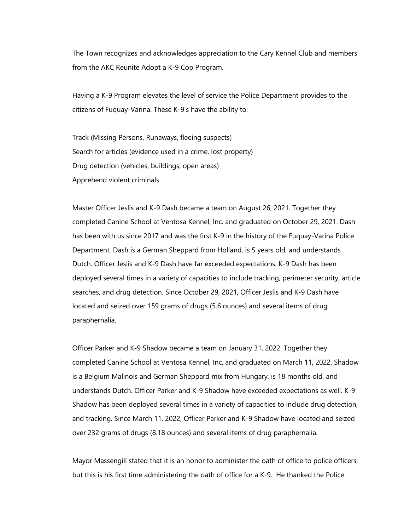The Town recognizes and acknowledges appreciation to the Cary Kennel Club and members from the AKC Reunite Adopt a K-9 Cop Program.

Having a K-9 Program elevates the level of service the Police Department provides to the citizens of Fuquay-Varina. These K-9's have the ability to:

Track (Missing Persons, Runaways, fleeing suspects) Search for articles (evidence used in a crime, lost property) Drug detection (vehicles, buildings, open areas) Apprehend violent criminals

Master Officer Jeslis and K-9 Dash became a team on August 26, 2021. Together they completed Canine School at Ventosa Kennel, Inc. and graduated on October 29, 2021. Dash has been with us since 2017 and was the first K-9 in the history of the Fuquay-Varina Police Department. Dash is a German Sheppard from Holland, is 5 years old, and understands Dutch. Officer Jeslis and K-9 Dash have far exceeded expectations. K-9 Dash has been deployed several times in a variety of capacities to include tracking, perimeter security, article searches, and drug detection. Since October 29, 2021, Officer Jeslis and K-9 Dash have located and seized over 159 grams of drugs (5.6 ounces) and several items of drug paraphernalia.

Officer Parker and K-9 Shadow became a team on January 31, 2022. Together they completed Canine School at Ventosa Kennel, Inc, and graduated on March 11, 2022. Shadow is a Belgium Malinois and German Sheppard mix from Hungary, is 18 months old, and understands Dutch. Officer Parker and K-9 Shadow have exceeded expectations as well. K-9 Shadow has been deployed several times in a variety of capacities to include drug detection, and tracking. Since March 11, 2022, Officer Parker and K-9 Shadow have located and seized over 232 grams of drugs (8.18 ounces) and several items of drug paraphernalia.

Mayor Massengill stated that it is an honor to administer the oath of office to police officers, but this is his first time administering the oath of office for a K-9. He thanked the Police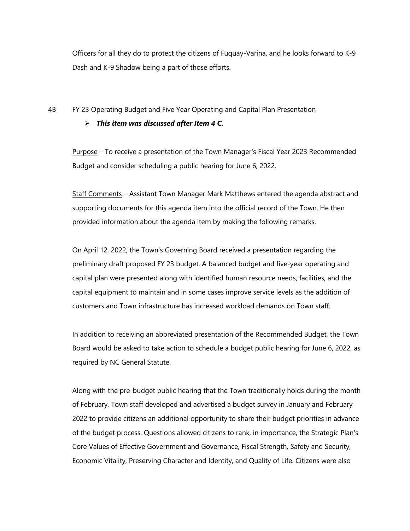Officers for all they do to protect the citizens of Fuquay-Varina, and he looks forward to K-9 Dash and K-9 Shadow being a part of those efforts.

## 4B FY 23 Operating Budget and Five Year Operating and Capital Plan Presentation

#### Ø *This item was discussed after Item 4 C.*

Purpose – To receive a presentation of the Town Manager's Fiscal Year 2023 Recommended Budget and consider scheduling a public hearing for June 6, 2022.

Staff Comments – Assistant Town Manager Mark Matthews entered the agenda abstract and supporting documents for this agenda item into the official record of the Town. He then provided information about the agenda item by making the following remarks.

On April 12, 2022, the Town's Governing Board received a presentation regarding the preliminary draft proposed FY 23 budget. A balanced budget and five-year operating and capital plan were presented along with identified human resource needs, facilities, and the capital equipment to maintain and in some cases improve service levels as the addition of customers and Town infrastructure has increased workload demands on Town staff.

In addition to receiving an abbreviated presentation of the Recommended Budget, the Town Board would be asked to take action to schedule a budget public hearing for June 6, 2022, as required by NC General Statute.

Along with the pre-budget public hearing that the Town traditionally holds during the month of February, Town staff developed and advertised a budget survey in January and February 2022 to provide citizens an additional opportunity to share their budget priorities in advance of the budget process. Questions allowed citizens to rank, in importance, the Strategic Plan's Core Values of Effective Government and Governance, Fiscal Strength, Safety and Security, Economic Vitality, Preserving Character and Identity, and Quality of Life. Citizens were also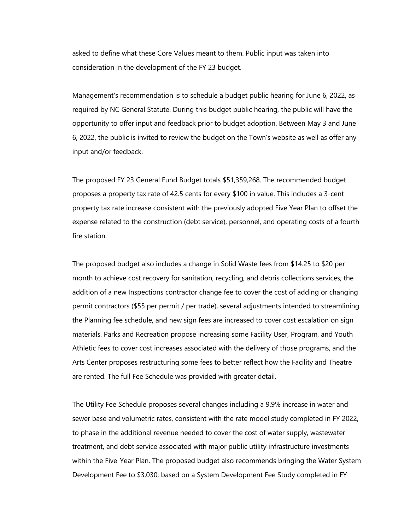asked to define what these Core Values meant to them. Public input was taken into consideration in the development of the FY 23 budget.

Management's recommendation is to schedule a budget public hearing for June 6, 2022, as required by NC General Statute. During this budget public hearing, the public will have the opportunity to offer input and feedback prior to budget adoption. Between May 3 and June 6, 2022, the public is invited to review the budget on the Town's website as well as offer any input and/or feedback.

The proposed FY 23 General Fund Budget totals \$51,359,268. The recommended budget proposes a property tax rate of 42.5 cents for every \$100 in value. This includes a 3-cent property tax rate increase consistent with the previously adopted Five Year Plan to offset the expense related to the construction (debt service), personnel, and operating costs of a fourth fire station.

The proposed budget also includes a change in Solid Waste fees from \$14.25 to \$20 per month to achieve cost recovery for sanitation, recycling, and debris collections services, the addition of a new Inspections contractor change fee to cover the cost of adding or changing permit contractors (\$55 per permit / per trade), several adjustments intended to streamlining the Planning fee schedule, and new sign fees are increased to cover cost escalation on sign materials. Parks and Recreation propose increasing some Facility User, Program, and Youth Athletic fees to cover cost increases associated with the delivery of those programs, and the Arts Center proposes restructuring some fees to better reflect how the Facility and Theatre are rented. The full Fee Schedule was provided with greater detail.

The Utility Fee Schedule proposes several changes including a 9.9% increase in water and sewer base and volumetric rates, consistent with the rate model study completed in FY 2022, to phase in the additional revenue needed to cover the cost of water supply, wastewater treatment, and debt service associated with major public utility infrastructure investments within the Five-Year Plan. The proposed budget also recommends bringing the Water System Development Fee to \$3,030, based on a System Development Fee Study completed in FY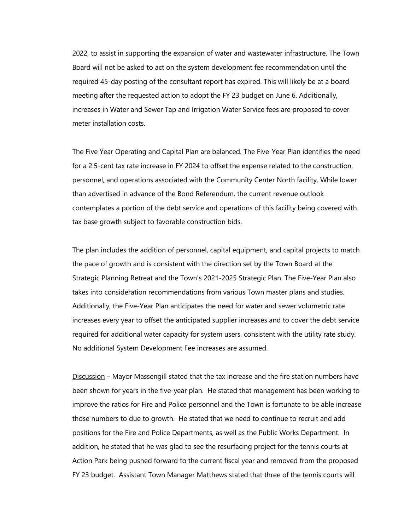2022, to assist in supporting the expansion of water and wastewater infrastructure. The Town Board will not be asked to act on the system development fee recommendation until the required 45-day posting of the consultant report has expired. This will likely be at a board meeting after the requested action to adopt the FY 23 budget on June 6. Additionally, increases in Water and Sewer Tap and Irrigation Water Service fees are proposed to cover meter installation costs.

The Five Year Operating and Capital Plan are balanced. The Five-Year Plan identifies the need for a 2.5-cent tax rate increase in FY 2024 to offset the expense related to the construction, personnel, and operations associated with the Community Center North facility. While lower than advertised in advance of the Bond Referendum, the current revenue outlook contemplates a portion of the debt service and operations of this facility being covered with tax base growth subject to favorable construction bids.

The plan includes the addition of personnel, capital equipment, and capital projects to match the pace of growth and is consistent with the direction set by the Town Board at the Strategic Planning Retreat and the Town's 2021-2025 Strategic Plan. The Five-Year Plan also takes into consideration recommendations from various Town master plans and studies. Additionally, the Five-Year Plan anticipates the need for water and sewer volumetric rate increases every year to offset the anticipated supplier increases and to cover the debt service required for additional water capacity for system users, consistent with the utility rate study. No additional System Development Fee increases are assumed.

Discussion – Mayor Massengill stated that the tax increase and the fire station numbers have been shown for years in the five-year plan. He stated that management has been working to improve the ratios for Fire and Police personnel and the Town is fortunate to be able increase those numbers to due to growth. He stated that we need to continue to recruit and add positions for the Fire and Police Departments, as well as the Public Works Department. In addition, he stated that he was glad to see the resurfacing project for the tennis courts at Action Park being pushed forward to the current fiscal year and removed from the proposed FY 23 budget. Assistant Town Manager Matthews stated that three of the tennis courts will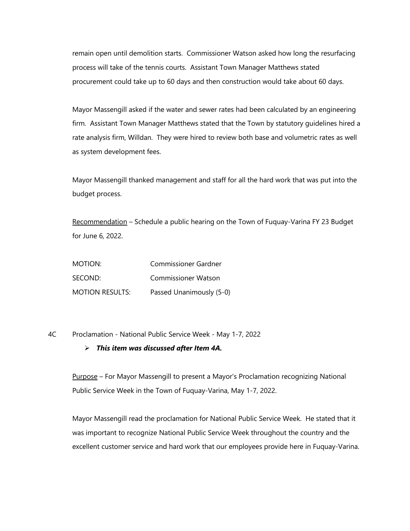remain open until demolition starts. Commissioner Watson asked how long the resurfacing process will take of the tennis courts. Assistant Town Manager Matthews stated procurement could take up to 60 days and then construction would take about 60 days.

Mayor Massengill asked if the water and sewer rates had been calculated by an engineering firm. Assistant Town Manager Matthews stated that the Town by statutory guidelines hired a rate analysis firm, Willdan. They were hired to review both base and volumetric rates as well as system development fees.

Mayor Massengill thanked management and staff for all the hard work that was put into the budget process.

Recommendation – Schedule a public hearing on the Town of Fuquay-Varina FY 23 Budget for June 6, 2022.

| MOTION:                | <b>Commissioner Gardner</b> |
|------------------------|-----------------------------|
| SECOND:                | <b>Commissioner Watson</b>  |
| <b>MOTION RESULTS:</b> | Passed Unanimously (5-0)    |

4C Proclamation - National Public Service Week - May 1-7, 2022

#### Ø *This item was discussed after Item 4A.*

Purpose – For Mayor Massengill to present a Mayor's Proclamation recognizing National Public Service Week in the Town of Fuquay-Varina, May 1-7, 2022.

Mayor Massengill read the proclamation for National Public Service Week. He stated that it was important to recognize National Public Service Week throughout the country and the excellent customer service and hard work that our employees provide here in Fuquay-Varina.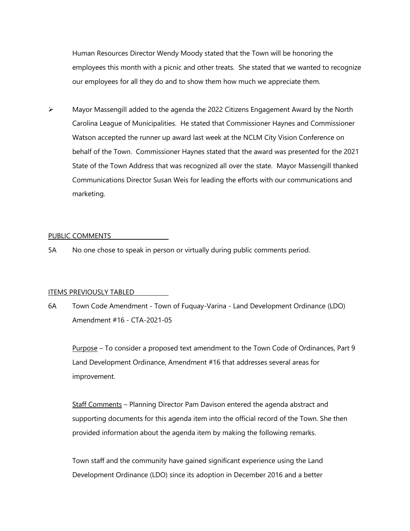Human Resources Director Wendy Moody stated that the Town will be honoring the employees this month with a picnic and other treats. She stated that we wanted to recognize our employees for all they do and to show them how much we appreciate them.

 $\triangleright$  Mayor Massengill added to the agenda the 2022 Citizens Engagement Award by the North Carolina League of Municipalities. He stated that Commissioner Haynes and Commissioner Watson accepted the runner up award last week at the NCLM City Vision Conference on behalf of the Town. Commissioner Haynes stated that the award was presented for the 2021 State of the Town Address that was recognized all over the state. Mayor Massengill thanked Communications Director Susan Weis for leading the efforts with our communications and marketing.

#### PUBLIC COMMENTS

5A No one chose to speak in person or virtually during public comments period.

#### ITEMS PREVIOUSLY TABLED

6A Town Code Amendment - Town of Fuquay-Varina - Land Development Ordinance (LDO) Amendment #16 - CTA-2021-05

Purpose – To consider a proposed text amendment to the Town Code of Ordinances, Part 9 Land Development Ordinance, Amendment #16 that addresses several areas for improvement.

Staff Comments – Planning Director Pam Davison entered the agenda abstract and supporting documents for this agenda item into the official record of the Town. She then provided information about the agenda item by making the following remarks.

Town staff and the community have gained significant experience using the Land Development Ordinance (LDO) since its adoption in December 2016 and a better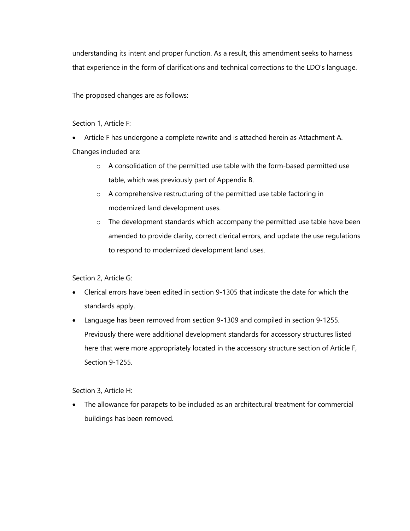understanding its intent and proper function. As a result, this amendment seeks to harness that experience in the form of clarifications and technical corrections to the LDO's language.

The proposed changes are as follows:

Section 1, Article F:

- Article F has undergone a complete rewrite and is attached herein as Attachment A. Changes included are:
	- o A consolidation of the permitted use table with the form-based permitted use table, which was previously part of Appendix B.
	- o A comprehensive restructuring of the permitted use table factoring in modernized land development uses.
	- o The development standards which accompany the permitted use table have been amended to provide clarity, correct clerical errors, and update the use regulations to respond to modernized development land uses.

Section 2, Article G:

- Clerical errors have been edited in section 9-1305 that indicate the date for which the standards apply.
- Language has been removed from section 9-1309 and compiled in section 9-1255. Previously there were additional development standards for accessory structures listed here that were more appropriately located in the accessory structure section of Article F, Section 9-1255.

Section 3, Article H:

• The allowance for parapets to be included as an architectural treatment for commercial buildings has been removed.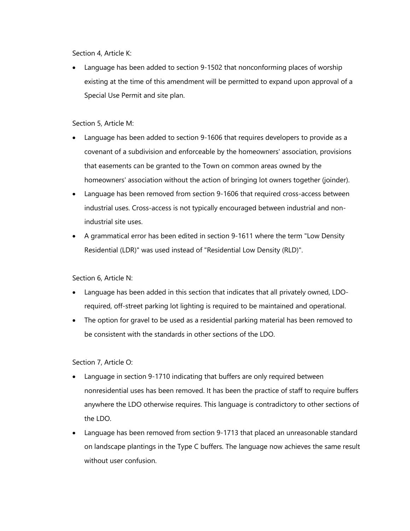Section 4, Article K:

• Language has been added to section 9-1502 that nonconforming places of worship existing at the time of this amendment will be permitted to expand upon approval of a Special Use Permit and site plan.

Section 5, Article M:

- Language has been added to section 9-1606 that requires developers to provide as a covenant of a subdivision and enforceable by the homeowners' association, provisions that easements can be granted to the Town on common areas owned by the homeowners' association without the action of bringing lot owners together (joinder).
- Language has been removed from section 9-1606 that required cross-access between industrial uses. Cross-access is not typically encouraged between industrial and nonindustrial site uses.
- A grammatical error has been edited in section 9-1611 where the term "Low Density Residential (LDR)" was used instead of "Residential Low Density (RLD)".

Section 6, Article N:

- Language has been added in this section that indicates that all privately owned, LDOrequired, off-street parking lot lighting is required to be maintained and operational.
- The option for gravel to be used as a residential parking material has been removed to be consistent with the standards in other sections of the LDO.

Section 7, Article O:

- Language in section 9-1710 indicating that buffers are only required between nonresidential uses has been removed. It has been the practice of staff to require buffers anywhere the LDO otherwise requires. This language is contradictory to other sections of the LDO.
- Language has been removed from section 9-1713 that placed an unreasonable standard on landscape plantings in the Type C buffers. The language now achieves the same result without user confusion.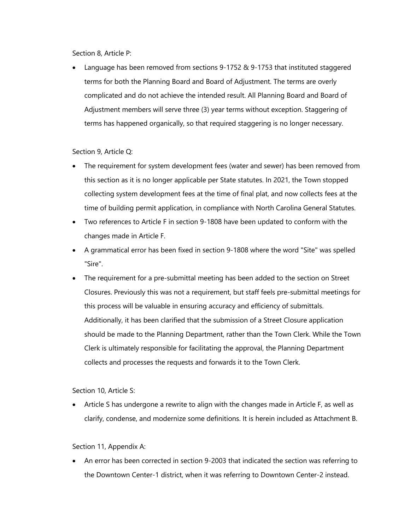Section 8, Article P:

• Language has been removed from sections 9-1752 & 9-1753 that instituted staggered terms for both the Planning Board and Board of Adjustment. The terms are overly complicated and do not achieve the intended result. All Planning Board and Board of Adjustment members will serve three (3) year terms without exception. Staggering of terms has happened organically, so that required staggering is no longer necessary.

Section 9, Article Q:

- The requirement for system development fees (water and sewer) has been removed from this section as it is no longer applicable per State statutes. In 2021, the Town stopped collecting system development fees at the time of final plat, and now collects fees at the time of building permit application, in compliance with North Carolina General Statutes.
- Two references to Article F in section 9-1808 have been updated to conform with the changes made in Article F.
- A grammatical error has been fixed in section 9-1808 where the word "Site" was spelled "Sire".
- The requirement for a pre-submittal meeting has been added to the section on Street Closures. Previously this was not a requirement, but staff feels pre-submittal meetings for this process will be valuable in ensuring accuracy and efficiency of submittals. Additionally, it has been clarified that the submission of a Street Closure application should be made to the Planning Department, rather than the Town Clerk. While the Town Clerk is ultimately responsible for facilitating the approval, the Planning Department collects and processes the requests and forwards it to the Town Clerk.

Section 10, Article S:

• Article S has undergone a rewrite to align with the changes made in Article F, as well as clarify, condense, and modernize some definitions. It is herein included as Attachment B.

# Section 11, Appendix A:

• An error has been corrected in section 9-2003 that indicated the section was referring to the Downtown Center-1 district, when it was referring to Downtown Center-2 instead.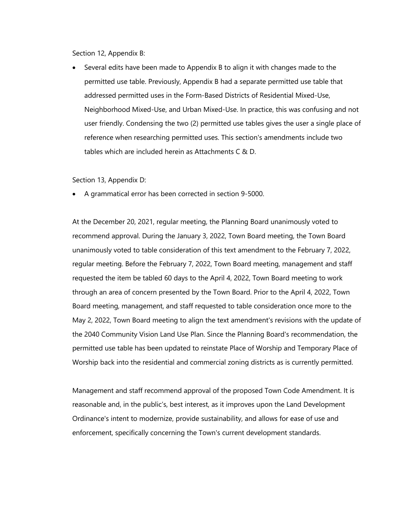Section 12, Appendix B:

• Several edits have been made to Appendix B to align it with changes made to the permitted use table. Previously, Appendix B had a separate permitted use table that addressed permitted uses in the Form-Based Districts of Residential Mixed-Use, Neighborhood Mixed-Use, and Urban Mixed-Use. In practice, this was confusing and not user friendly. Condensing the two (2) permitted use tables gives the user a single place of reference when researching permitted uses. This section's amendments include two tables which are included herein as Attachments C & D.

Section 13, Appendix D:

• A grammatical error has been corrected in section 9-5000.

At the December 20, 2021, regular meeting, the Planning Board unanimously voted to recommend approval. During the January 3, 2022, Town Board meeting, the Town Board unanimously voted to table consideration of this text amendment to the February 7, 2022, regular meeting. Before the February 7, 2022, Town Board meeting, management and staff requested the item be tabled 60 days to the April 4, 2022, Town Board meeting to work through an area of concern presented by the Town Board. Prior to the April 4, 2022, Town Board meeting, management, and staff requested to table consideration once more to the May 2, 2022, Town Board meeting to align the text amendment's revisions with the update of the 2040 Community Vision Land Use Plan. Since the Planning Board's recommendation, the permitted use table has been updated to reinstate Place of Worship and Temporary Place of Worship back into the residential and commercial zoning districts as is currently permitted.

Management and staff recommend approval of the proposed Town Code Amendment. It is reasonable and, in the public's, best interest, as it improves upon the Land Development Ordinance's intent to modernize, provide sustainability, and allows for ease of use and enforcement, specifically concerning the Town's current development standards.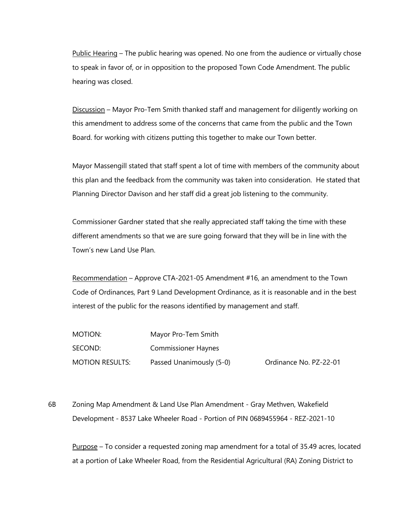Public Hearing – The public hearing was opened. No one from the audience or virtually chose to speak in favor of, or in opposition to the proposed Town Code Amendment. The public hearing was closed.

Discussion – Mayor Pro-Tem Smith thanked staff and management for diligently working on this amendment to address some of the concerns that came from the public and the Town Board. for working with citizens putting this together to make our Town better.

Mayor Massengill stated that staff spent a lot of time with members of the community about this plan and the feedback from the community was taken into consideration. He stated that Planning Director Davison and her staff did a great job listening to the community.

Commissioner Gardner stated that she really appreciated staff taking the time with these different amendments so that we are sure going forward that they will be in line with the Town's new Land Use Plan.

Recommendation – Approve CTA-2021-05 Amendment #16, an amendment to the Town Code of Ordinances, Part 9 Land Development Ordinance, as it is reasonable and in the best interest of the public for the reasons identified by management and staff.

| MOTION:                | Mayor Pro-Tem Smith        |                        |
|------------------------|----------------------------|------------------------|
| SECOND:                | <b>Commissioner Haynes</b> |                        |
| <b>MOTION RESULTS:</b> | Passed Unanimously (5-0)   | Ordinance No. PZ-22-01 |

6B Zoning Map Amendment & Land Use Plan Amendment - Gray Methven, Wakefield Development - 8537 Lake Wheeler Road - Portion of PIN 0689455964 - REZ-2021-10

Purpose – To consider a requested zoning map amendment for a total of 35.49 acres, located at a portion of Lake Wheeler Road, from the Residential Agricultural (RA) Zoning District to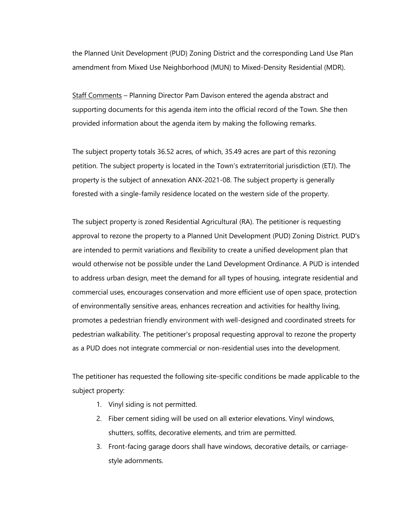the Planned Unit Development (PUD) Zoning District and the corresponding Land Use Plan amendment from Mixed Use Neighborhood (MUN) to Mixed-Density Residential (MDR).

Staff Comments – Planning Director Pam Davison entered the agenda abstract and supporting documents for this agenda item into the official record of the Town. She then provided information about the agenda item by making the following remarks.

The subject property totals 36.52 acres, of which, 35.49 acres are part of this rezoning petition. The subject property is located in the Town's extraterritorial jurisdiction (ETJ). The property is the subject of annexation ANX-2021-08. The subject property is generally forested with a single-family residence located on the western side of the property.

The subject property is zoned Residential Agricultural (RA). The petitioner is requesting approval to rezone the property to a Planned Unit Development (PUD) Zoning District. PUD's are intended to permit variations and flexibility to create a unified development plan that would otherwise not be possible under the Land Development Ordinance. A PUD is intended to address urban design, meet the demand for all types of housing, integrate residential and commercial uses, encourages conservation and more efficient use of open space, protection of environmentally sensitive areas, enhances recreation and activities for healthy living, promotes a pedestrian friendly environment with well-designed and coordinated streets for pedestrian walkability. The petitioner's proposal requesting approval to rezone the property as a PUD does not integrate commercial or non-residential uses into the development.

The petitioner has requested the following site-specific conditions be made applicable to the subject property:

- 1. Vinyl siding is not permitted.
- 2. Fiber cement siding will be used on all exterior elevations. Vinyl windows, shutters, soffits, decorative elements, and trim are permitted.
- 3. Front-facing garage doors shall have windows, decorative details, or carriagestyle adornments.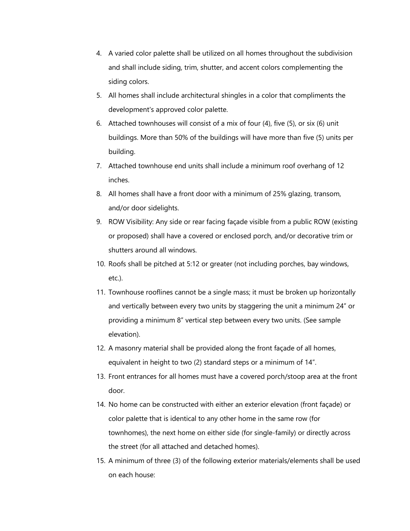- 4. A varied color palette shall be utilized on all homes throughout the subdivision and shall include siding, trim, shutter, and accent colors complementing the siding colors.
- 5. All homes shall include architectural shingles in a color that compliments the development's approved color palette.
- 6. Attached townhouses will consist of a mix of four (4), five (5), or six (6) unit buildings. More than 50% of the buildings will have more than five (5) units per building.
- 7. Attached townhouse end units shall include a minimum roof overhang of 12 inches.
- 8. All homes shall have a front door with a minimum of 25% glazing, transom, and/or door sidelights.
- 9. ROW Visibility: Any side or rear facing façade visible from a public ROW (existing or proposed) shall have a covered or enclosed porch, and/or decorative trim or shutters around all windows.
- 10. Roofs shall be pitched at 5:12 or greater (not including porches, bay windows, etc.).
- 11. Townhouse rooflines cannot be a single mass; it must be broken up horizontally and vertically between every two units by staggering the unit a minimum 24" or providing a minimum 8" vertical step between every two units. (See sample elevation).
- 12. A masonry material shall be provided along the front façade of all homes, equivalent in height to two (2) standard steps or a minimum of 14".
- 13. Front entrances for all homes must have a covered porch/stoop area at the front door.
- 14. No home can be constructed with either an exterior elevation (front façade) or color palette that is identical to any other home in the same row (for townhomes), the next home on either side (for single-family) or directly across the street (for all attached and detached homes).
- 15. A minimum of three (3) of the following exterior materials/elements shall be used on each house: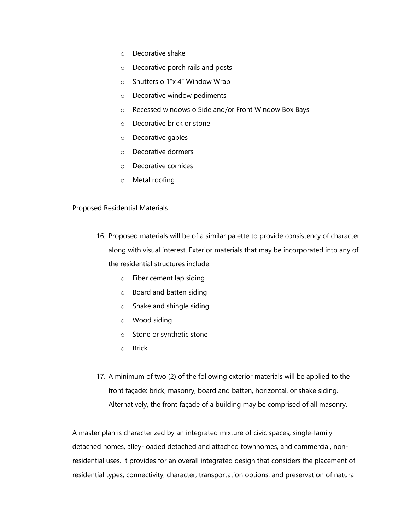- o Decorative shake
- o Decorative porch rails and posts
- o Shutters o 1"x 4" Window Wrap
- o Decorative window pediments
- o Recessed windows o Side and/or Front Window Box Bays
- o Decorative brick or stone
- o Decorative gables
- o Decorative dormers
- o Decorative cornices
- o Metal roofing

# Proposed Residential Materials

- 16. Proposed materials will be of a similar palette to provide consistency of character along with visual interest. Exterior materials that may be incorporated into any of the residential structures include:
	- o Fiber cement lap siding
	- o Board and batten siding
	- o Shake and shingle siding
	- o Wood siding
	- o Stone or synthetic stone
	- o Brick
- 17. A minimum of two (2) of the following exterior materials will be applied to the front façade: brick, masonry, board and batten, horizontal, or shake siding. Alternatively, the front façade of a building may be comprised of all masonry.

A master plan is characterized by an integrated mixture of civic spaces, single-family detached homes, alley-loaded detached and attached townhomes, and commercial, nonresidential uses. It provides for an overall integrated design that considers the placement of residential types, connectivity, character, transportation options, and preservation of natural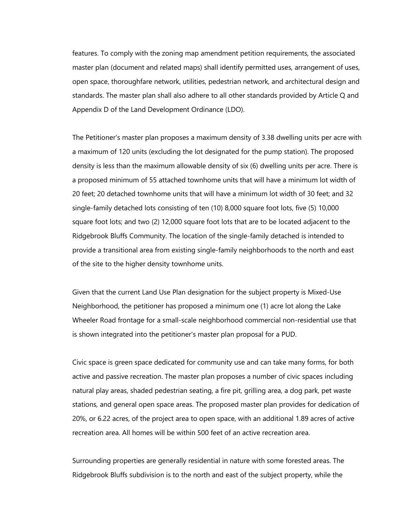features. To comply with the zoning map amendment petition requirements, the associated master plan (document and related maps) shall identify permitted uses, arrangement of uses, open space, thoroughfare network, utilities, pedestrian network, and architectural design and standards. The master plan shall also adhere to all other standards provided by Article Q and Appendix D of the Land Development Ordinance (LDO).

The Petitioner's master plan proposes a maximum density of 3.38 dwelling units per acre with a maximum of 120 units (excluding the lot designated for the pump station). The proposed density is less than the maximum allowable density of six (6) dwelling units per acre. There is a proposed minimum of 55 attached townhome units that will have a minimum lot width of 20 feet; 20 detached townhome units that will have a minimum lot width of 30 feet; and 32 single-family detached lots consisting of ten (10) 8,000 square foot lots, five (5) 10,000 square foot lots; and two (2) 12,000 square foot lots that are to be located adjacent to the Ridgebrook Bluffs Community. The location of the single-family detached is intended to provide a transitional area from existing single-family neighborhoods to the north and east of the site to the higher density townhome units.

Given that the current Land Use Plan designation for the subject property is Mixed-Use Neighborhood, the petitioner has proposed a minimum one (1) acre lot along the Lake Wheeler Road frontage for a small-scale neighborhood commercial non-residential use that is shown integrated into the petitioner's master plan proposal for a PUD.

Civic space is green space dedicated for community use and can take many forms, for both active and passive recreation. The master plan proposes a number of civic spaces including natural play areas, shaded pedestrian seating, a fire pit, grilling area, a dog park, pet waste stations, and general open space areas. The proposed master plan provides for dedication of 20%, or 6.22 acres, of the project area to open space, with an additional 1.89 acres of active recreation area. All homes will be within 500 feet of an active recreation area.

Surrounding properties are generally residential in nature with some forested areas. The Ridgebrook Bluffs subdivision is to the north and east of the subject property, while the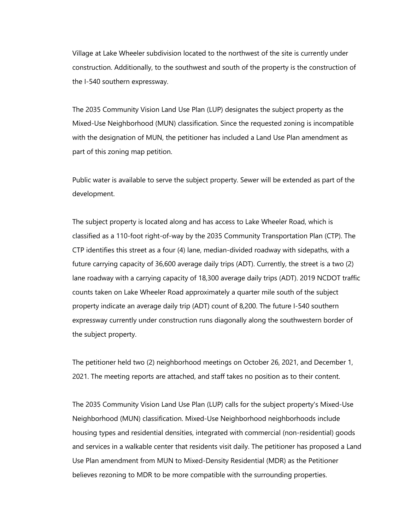Village at Lake Wheeler subdivision located to the northwest of the site is currently under construction. Additionally, to the southwest and south of the property is the construction of the I-540 southern expressway.

The 2035 Community Vision Land Use Plan (LUP) designates the subject property as the Mixed-Use Neighborhood (MUN) classification. Since the requested zoning is incompatible with the designation of MUN, the petitioner has included a Land Use Plan amendment as part of this zoning map petition.

Public water is available to serve the subject property. Sewer will be extended as part of the development.

The subject property is located along and has access to Lake Wheeler Road, which is classified as a 110-foot right-of-way by the 2035 Community Transportation Plan (CTP). The CTP identifies this street as a four (4) lane, median-divided roadway with sidepaths, with a future carrying capacity of 36,600 average daily trips (ADT). Currently, the street is a two (2) lane roadway with a carrying capacity of 18,300 average daily trips (ADT). 2019 NCDOT traffic counts taken on Lake Wheeler Road approximately a quarter mile south of the subject property indicate an average daily trip (ADT) count of 8,200. The future I-540 southern expressway currently under construction runs diagonally along the southwestern border of the subject property.

The petitioner held two (2) neighborhood meetings on October 26, 2021, and December 1, 2021. The meeting reports are attached, and staff takes no position as to their content.

The 2035 Community Vision Land Use Plan (LUP) calls for the subject property's Mixed-Use Neighborhood (MUN) classification. Mixed-Use Neighborhood neighborhoods include housing types and residential densities, integrated with commercial (non-residential) goods and services in a walkable center that residents visit daily. The petitioner has proposed a Land Use Plan amendment from MUN to Mixed-Density Residential (MDR) as the Petitioner believes rezoning to MDR to be more compatible with the surrounding properties.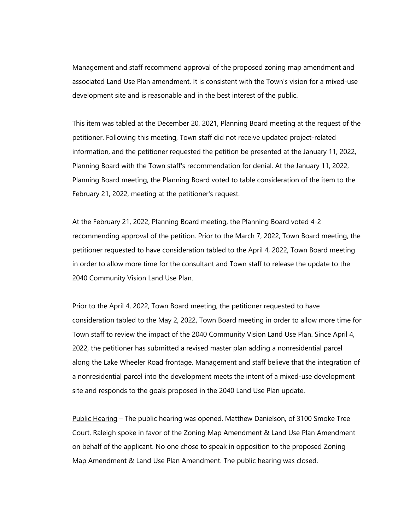Management and staff recommend approval of the proposed zoning map amendment and associated Land Use Plan amendment. It is consistent with the Town's vision for a mixed-use development site and is reasonable and in the best interest of the public.

This item was tabled at the December 20, 2021, Planning Board meeting at the request of the petitioner. Following this meeting, Town staff did not receive updated project-related information, and the petitioner requested the petition be presented at the January 11, 2022, Planning Board with the Town staff's recommendation for denial. At the January 11, 2022, Planning Board meeting, the Planning Board voted to table consideration of the item to the February 21, 2022, meeting at the petitioner's request.

At the February 21, 2022, Planning Board meeting, the Planning Board voted 4-2 recommending approval of the petition. Prior to the March 7, 2022, Town Board meeting, the petitioner requested to have consideration tabled to the April 4, 2022, Town Board meeting in order to allow more time for the consultant and Town staff to release the update to the 2040 Community Vision Land Use Plan.

Prior to the April 4, 2022, Town Board meeting, the petitioner requested to have consideration tabled to the May 2, 2022, Town Board meeting in order to allow more time for Town staff to review the impact of the 2040 Community Vision Land Use Plan. Since April 4, 2022, the petitioner has submitted a revised master plan adding a nonresidential parcel along the Lake Wheeler Road frontage. Management and staff believe that the integration of a nonresidential parcel into the development meets the intent of a mixed-use development site and responds to the goals proposed in the 2040 Land Use Plan update.

Public Hearing – The public hearing was opened. Matthew Danielson, of 3100 Smoke Tree Court, Raleigh spoke in favor of the Zoning Map Amendment & Land Use Plan Amendment on behalf of the applicant. No one chose to speak in opposition to the proposed Zoning Map Amendment & Land Use Plan Amendment. The public hearing was closed.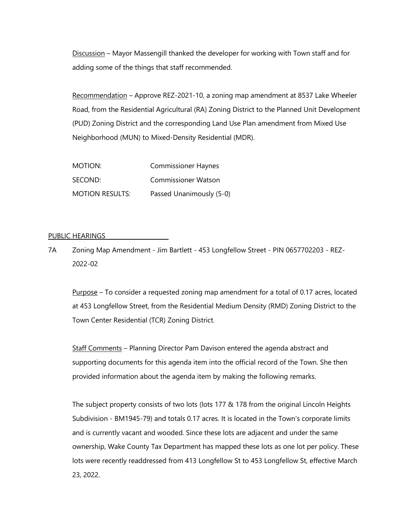Discussion – Mayor Massengill thanked the developer for working with Town staff and for adding some of the things that staff recommended.

Recommendation – Approve REZ-2021-10, a zoning map amendment at 8537 Lake Wheeler Road, from the Residential Agricultural (RA) Zoning District to the Planned Unit Development (PUD) Zoning District and the corresponding Land Use Plan amendment from Mixed Use Neighborhood (MUN) to Mixed-Density Residential (MDR).

| MOTION:                | <b>Commissioner Haynes</b> |
|------------------------|----------------------------|
| SECOND:                | <b>Commissioner Watson</b> |
| <b>MOTION RESULTS:</b> | Passed Unanimously (5-0)   |

#### PUBLIC HEARINGS

7A Zoning Map Amendment - Jim Bartlett - 453 Longfellow Street - PIN 0657702203 - REZ-2022-02

Purpose – To consider a requested zoning map amendment for a total of 0.17 acres, located at 453 Longfellow Street, from the Residential Medium Density (RMD) Zoning District to the Town Center Residential (TCR) Zoning District.

Staff Comments – Planning Director Pam Davison entered the agenda abstract and supporting documents for this agenda item into the official record of the Town. She then provided information about the agenda item by making the following remarks.

The subject property consists of two lots (lots 177 & 178 from the original Lincoln Heights Subdivision - BM1945-79) and totals 0.17 acres. It is located in the Town's corporate limits and is currently vacant and wooded. Since these lots are adjacent and under the same ownership, Wake County Tax Department has mapped these lots as one lot per policy. These lots were recently readdressed from 413 Longfellow St to 453 Longfellow St, effective March 23, 2022.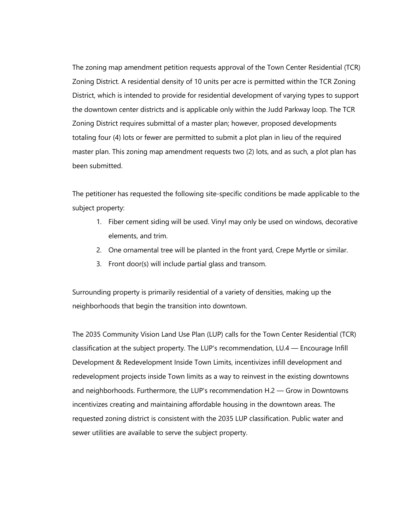The zoning map amendment petition requests approval of the Town Center Residential (TCR) Zoning District. A residential density of 10 units per acre is permitted within the TCR Zoning District, which is intended to provide for residential development of varying types to support the downtown center districts and is applicable only within the Judd Parkway loop. The TCR Zoning District requires submittal of a master plan; however, proposed developments totaling four (4) lots or fewer are permitted to submit a plot plan in lieu of the required master plan. This zoning map amendment requests two (2) lots, and as such, a plot plan has been submitted.

The petitioner has requested the following site-specific conditions be made applicable to the subject property:

- 1. Fiber cement siding will be used. Vinyl may only be used on windows, decorative elements, and trim.
- 2. One ornamental tree will be planted in the front yard, Crepe Myrtle or similar.
- 3. Front door(s) will include partial glass and transom.

Surrounding property is primarily residential of a variety of densities, making up the neighborhoods that begin the transition into downtown.

The 2035 Community Vision Land Use Plan (LUP) calls for the Town Center Residential (TCR) classification at the subject property. The LUP's recommendation, LU.4 — Encourage Infill Development & Redevelopment Inside Town Limits, incentivizes infill development and redevelopment projects inside Town limits as a way to reinvest in the existing downtowns and neighborhoods. Furthermore, the LUP's recommendation H.2 — Grow in Downtowns incentivizes creating and maintaining affordable housing in the downtown areas. The requested zoning district is consistent with the 2035 LUP classification. Public water and sewer utilities are available to serve the subject property.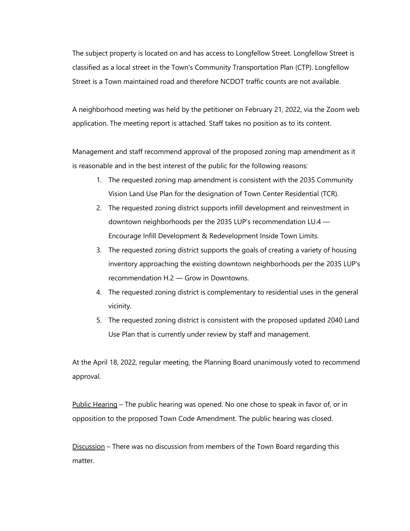The subject property is located on and has access to Longfellow Street. Longfellow Street is classified as a local street in the Town's Community Transportation Plan (CTP). Longfellow Street is a Town maintained road and therefore NCDOT traffic counts are not available.

A neighborhood meeting was held by the petitioner on February 21, 2022, via the Zoom web application. The meeting report is attached. Staff takes no position as to its content.

Management and staff recommend approval of the proposed zoning map amendment as it is reasonable and in the best interest of the public for the following reasons:

- 1. The requested zoning map amendment is consistent with the 2035 Community Vision Land Use Plan for the designation of Town Center Residential (TCR).
- 2. The requested zoning district supports infill development and reinvestment in downtown neighborhoods per the 2035 LUP's recommendation LU.4 — Encourage Infill Development & Redevelopment Inside Town Limits.
- 3. The requested zoning district supports the goals of creating a variety of housing inventory approaching the existing downtown neighborhoods per the 2035 LUP's recommendation H.2 — Grow in Downtowns.
- 4. The requested zoning district is complementary to residential uses in the general vicinity.
- 5. The requested zoning district is consistent with the proposed updated 2040 Land Use Plan that is currently under review by staff and management.

At the April 18, 2022, regular meeting, the Planning Board unanimously voted to recommend approval.

Public Hearing – The public hearing was opened. No one chose to speak in favor of, or in opposition to the proposed Town Code Amendment. The public hearing was closed.

Discussion – There was no discussion from members of the Town Board regarding this matter.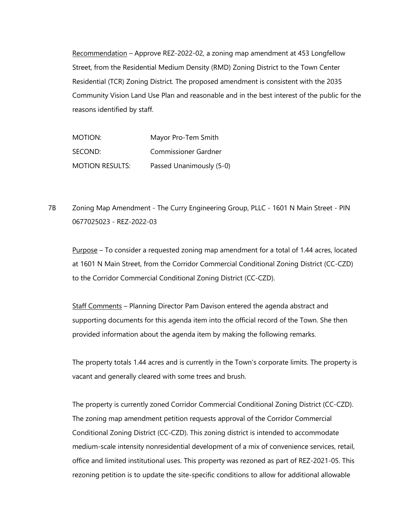Recommendation – Approve REZ-2022-02, a zoning map amendment at 453 Longfellow Street, from the Residential Medium Density (RMD) Zoning District to the Town Center Residential (TCR) Zoning District. The proposed amendment is consistent with the 2035 Community Vision Land Use Plan and reasonable and in the best interest of the public for the reasons identified by staff.

| MOTION:                | Mayor Pro-Tem Smith         |
|------------------------|-----------------------------|
| SECOND:                | <b>Commissioner Gardner</b> |
| <b>MOTION RESULTS:</b> | Passed Unanimously (5-0)    |

7B Zoning Map Amendment - The Curry Engineering Group, PLLC - 1601 N Main Street - PIN 0677025023 - REZ-2022-03

Purpose – To consider a requested zoning map amendment for a total of 1.44 acres, located at 1601 N Main Street, from the Corridor Commercial Conditional Zoning District (CC-CZD) to the Corridor Commercial Conditional Zoning District (CC-CZD).

Staff Comments – Planning Director Pam Davison entered the agenda abstract and supporting documents for this agenda item into the official record of the Town. She then provided information about the agenda item by making the following remarks.

The property totals 1.44 acres and is currently in the Town's corporate limits. The property is vacant and generally cleared with some trees and brush.

The property is currently zoned Corridor Commercial Conditional Zoning District (CC-CZD). The zoning map amendment petition requests approval of the Corridor Commercial Conditional Zoning District (CC-CZD). This zoning district is intended to accommodate medium-scale intensity nonresidential development of a mix of convenience services, retail, office and limited institutional uses. This property was rezoned as part of REZ-2021-05. This rezoning petition is to update the site-specific conditions to allow for additional allowable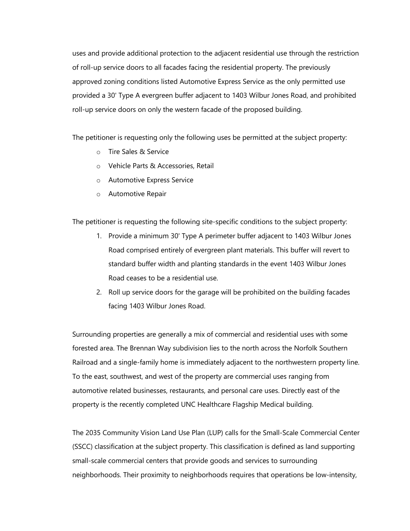uses and provide additional protection to the adjacent residential use through the restriction of roll-up service doors to all facades facing the residential property. The previously approved zoning conditions listed Automotive Express Service as the only permitted use provided a 30' Type A evergreen buffer adjacent to 1403 Wilbur Jones Road, and prohibited roll-up service doors on only the western facade of the proposed building.

The petitioner is requesting only the following uses be permitted at the subject property:

- o Tire Sales & Service
- o Vehicle Parts & Accessories, Retail
- o Automotive Express Service
- o Automotive Repair

The petitioner is requesting the following site-specific conditions to the subject property:

- 1. Provide a minimum 30' Type A perimeter buffer adjacent to 1403 Wilbur Jones Road comprised entirely of evergreen plant materials. This buffer will revert to standard buffer width and planting standards in the event 1403 Wilbur Jones Road ceases to be a residential use.
- 2. Roll up service doors for the garage will be prohibited on the building facades facing 1403 Wilbur Jones Road.

Surrounding properties are generally a mix of commercial and residential uses with some forested area. The Brennan Way subdivision lies to the north across the Norfolk Southern Railroad and a single-family home is immediately adjacent to the northwestern property line. To the east, southwest, and west of the property are commercial uses ranging from automotive related businesses, restaurants, and personal care uses. Directly east of the property is the recently completed UNC Healthcare Flagship Medical building.

The 2035 Community Vision Land Use Plan (LUP) calls for the Small-Scale Commercial Center (SSCC) classification at the subject property. This classification is defined as land supporting small-scale commercial centers that provide goods and services to surrounding neighborhoods. Their proximity to neighborhoods requires that operations be low-intensity,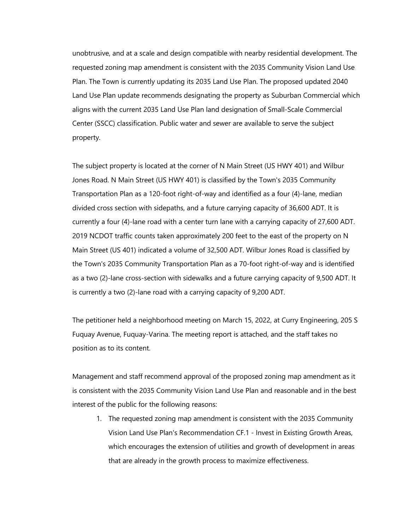unobtrusive, and at a scale and design compatible with nearby residential development. The requested zoning map amendment is consistent with the 2035 Community Vision Land Use Plan. The Town is currently updating its 2035 Land Use Plan. The proposed updated 2040 Land Use Plan update recommends designating the property as Suburban Commercial which aligns with the current 2035 Land Use Plan land designation of Small-Scale Commercial Center (SSCC) classification. Public water and sewer are available to serve the subject property.

The subject property is located at the corner of N Main Street (US HWY 401) and Wilbur Jones Road. N Main Street (US HWY 401) is classified by the Town's 2035 Community Transportation Plan as a 120-foot right-of-way and identified as a four (4)-lane, median divided cross section with sidepaths, and a future carrying capacity of 36,600 ADT. It is currently a four (4)-lane road with a center turn lane with a carrying capacity of 27,600 ADT. 2019 NCDOT traffic counts taken approximately 200 feet to the east of the property on N Main Street (US 401) indicated a volume of 32,500 ADT. Wilbur Jones Road is classified by the Town's 2035 Community Transportation Plan as a 70-foot right-of-way and is identified as a two (2)-lane cross-section with sidewalks and a future carrying capacity of 9,500 ADT. It is currently a two (2)-lane road with a carrying capacity of 9,200 ADT.

The petitioner held a neighborhood meeting on March 15, 2022, at Curry Engineering, 205 S Fuquay Avenue, Fuquay-Varina. The meeting report is attached, and the staff takes no position as to its content.

Management and staff recommend approval of the proposed zoning map amendment as it is consistent with the 2035 Community Vision Land Use Plan and reasonable and in the best interest of the public for the following reasons:

1. The requested zoning map amendment is consistent with the 2035 Community Vision Land Use Plan's Recommendation CF.1 - Invest in Existing Growth Areas, which encourages the extension of utilities and growth of development in areas that are already in the growth process to maximize effectiveness.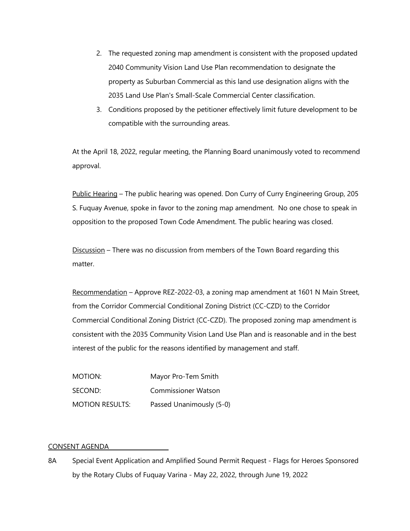- 2. The requested zoning map amendment is consistent with the proposed updated 2040 Community Vision Land Use Plan recommendation to designate the property as Suburban Commercial as this land use designation aligns with the 2035 Land Use Plan's Small-Scale Commercial Center classification.
- 3. Conditions proposed by the petitioner effectively limit future development to be compatible with the surrounding areas.

At the April 18, 2022, regular meeting, the Planning Board unanimously voted to recommend approval.

Public Hearing – The public hearing was opened. Don Curry of Curry Engineering Group, 205 S. Fuquay Avenue, spoke in favor to the zoning map amendment. No one chose to speak in opposition to the proposed Town Code Amendment. The public hearing was closed.

Discussion – There was no discussion from members of the Town Board regarding this matter.

Recommendation – Approve REZ-2022-03, a zoning map amendment at 1601 N Main Street, from the Corridor Commercial Conditional Zoning District (CC-CZD) to the Corridor Commercial Conditional Zoning District (CC-CZD). The proposed zoning map amendment is consistent with the 2035 Community Vision Land Use Plan and is reasonable and in the best interest of the public for the reasons identified by management and staff.

| MOTION:                | Mayor Pro-Tem Smith        |
|------------------------|----------------------------|
| SECOND:                | <b>Commissioner Watson</b> |
| <b>MOTION RESULTS:</b> | Passed Unanimously (5-0)   |

## CONSENT AGENDA

8A Special Event Application and Amplified Sound Permit Request - Flags for Heroes Sponsored by the Rotary Clubs of Fuquay Varina - May 22, 2022, through June 19, 2022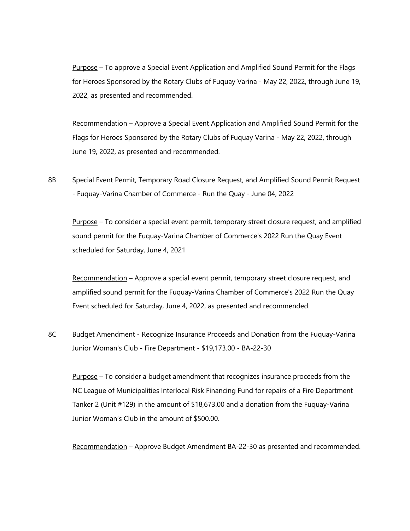Purpose – To approve a Special Event Application and Amplified Sound Permit for the Flags for Heroes Sponsored by the Rotary Clubs of Fuquay Varina - May 22, 2022, through June 19, 2022, as presented and recommended.

Recommendation – Approve a Special Event Application and Amplified Sound Permit for the Flags for Heroes Sponsored by the Rotary Clubs of Fuquay Varina - May 22, 2022, through June 19, 2022, as presented and recommended.

8B Special Event Permit, Temporary Road Closure Request, and Amplified Sound Permit Request - Fuquay-Varina Chamber of Commerce - Run the Quay - June 04, 2022

Purpose – To consider a special event permit, temporary street closure request, and amplified sound permit for the Fuquay-Varina Chamber of Commerce's 2022 Run the Quay Event scheduled for Saturday, June 4, 2021

Recommendation – Approve a special event permit, temporary street closure request, and amplified sound permit for the Fuquay-Varina Chamber of Commerce's 2022 Run the Quay Event scheduled for Saturday, June 4, 2022, as presented and recommended.

8C Budget Amendment - Recognize Insurance Proceeds and Donation from the Fuquay-Varina Junior Woman's Club - Fire Department - \$19,173.00 - BA-22-30

Purpose – To consider a budget amendment that recognizes insurance proceeds from the NC League of Municipalities Interlocal Risk Financing Fund for repairs of a Fire Department Tanker 2 (Unit #129) in the amount of \$18,673.00 and a donation from the Fuquay-Varina Junior Woman's Club in the amount of \$500.00.

Recommendation – Approve Budget Amendment BA-22-30 as presented and recommended.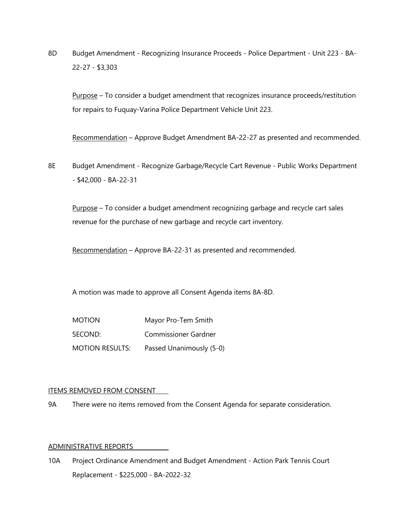8D Budget Amendment - Recognizing Insurance Proceeds - Police Department - Unit 223 - BA-22-27 - \$3,303

Purpose - To consider a budget amendment that recognizes insurance proceeds/restitution for repairs to Fuquay-Varina Police Department Vehicle Unit 223.

Recommendation – Approve Budget Amendment BA-22-27 as presented and recommended.

8E Budget Amendment - Recognize Garbage/Recycle Cart Revenue - Public Works Department - \$42,000 - BA-22-31

Purpose - To consider a budget amendment recognizing garbage and recycle cart sales revenue for the purchase of new garbage and recycle cart inventory.

Recommendation – Approve BA-22-31 as presented and recommended.

A motion was made to approve all Consent Agenda items 8A-8D.

| <b>MOTION</b>          | Mayor Pro-Tem Smith      |
|------------------------|--------------------------|
| SECOND:                | Commissioner Gardner     |
| <b>MOTION RESULTS:</b> | Passed Unanimously (5-0) |

## ITEMS REMOVED FROM CONSENT

9A There were no items removed from the Consent Agenda for separate consideration.

#### ADMINISTRATIVE REPORTS

10A Project Ordinance Amendment and Budget Amendment - Action Park Tennis Court Replacement - \$225,000 - BA-2022-32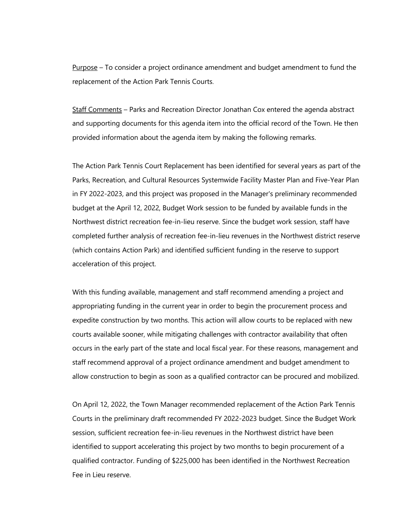Purpose – To consider a project ordinance amendment and budget amendment to fund the replacement of the Action Park Tennis Courts.

Staff Comments – Parks and Recreation Director Jonathan Cox entered the agenda abstract and supporting documents for this agenda item into the official record of the Town. He then provided information about the agenda item by making the following remarks.

The Action Park Tennis Court Replacement has been identified for several years as part of the Parks, Recreation, and Cultural Resources Systemwide Facility Master Plan and Five-Year Plan in FY 2022-2023, and this project was proposed in the Manager's preliminary recommended budget at the April 12, 2022, Budget Work session to be funded by available funds in the Northwest district recreation fee-in-lieu reserve. Since the budget work session, staff have completed further analysis of recreation fee-in-lieu revenues in the Northwest district reserve (which contains Action Park) and identified sufficient funding in the reserve to support acceleration of this project.

With this funding available, management and staff recommend amending a project and appropriating funding in the current year in order to begin the procurement process and expedite construction by two months. This action will allow courts to be replaced with new courts available sooner, while mitigating challenges with contractor availability that often occurs in the early part of the state and local fiscal year. For these reasons, management and staff recommend approval of a project ordinance amendment and budget amendment to allow construction to begin as soon as a qualified contractor can be procured and mobilized.

On April 12, 2022, the Town Manager recommended replacement of the Action Park Tennis Courts in the preliminary draft recommended FY 2022-2023 budget. Since the Budget Work session, sufficient recreation fee-in-lieu revenues in the Northwest district have been identified to support accelerating this project by two months to begin procurement of a qualified contractor. Funding of \$225,000 has been identified in the Northwest Recreation Fee in Lieu reserve.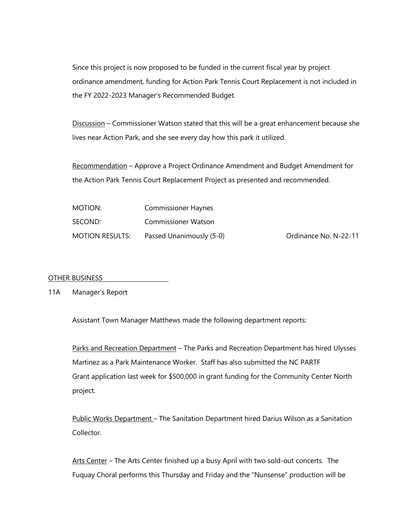Since this project is now proposed to be funded in the current fiscal year by project ordinance amendment, funding for Action Park Tennis Court Replacement is not included in the FY 2022-2023 Manager's Recommended Budget.

Discussion – Commissioner Watson stated that this will be a great enhancement because she lives near Action Park, and she see every day how this park it utilized.

Recommendation - Approve a Project Ordinance Amendment and Budget Amendment for the Action Park Tennis Court Replacement Project as presented and recommended.

| MOTION:                | <b>Commissioner Haynes</b> |                       |
|------------------------|----------------------------|-----------------------|
| SECOND:                | <b>Commissioner Watson</b> |                       |
| <b>MOTION RESULTS:</b> | Passed Unanimously (5-0)   | Ordinance No. N-22-11 |

## OTHER BUSINESS

## 11A Manager's Report

Assistant Town Manager Matthews made the following department reports:

Parks and Recreation Department – The Parks and Recreation Department has hired Ulysses Martinez as a Park Maintenance Worker. Staff has also submitted the NC PARTF Grant application last week for \$500,000 in grant funding for the Community Center North project.

Public Works Department – The Sanitation Department hired Darius Wilson as a Sanitation Collector.

Arts Center - The Arts Center finished up a busy April with two sold-out concerts. The Fuquay Choral performs this Thursday and Friday and the "Nunsense" production will be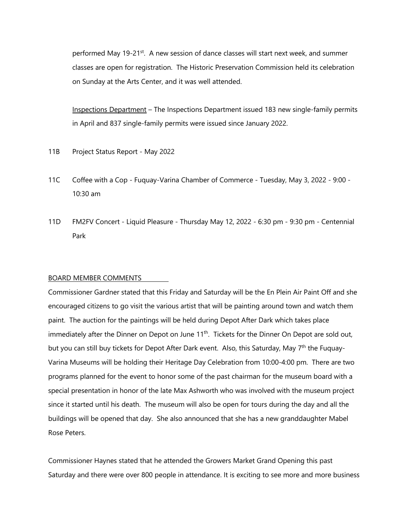performed May 19-21<sup>st</sup>. A new session of dance classes will start next week, and summer classes are open for registration. The Historic Preservation Commission held its celebration on Sunday at the Arts Center, and it was well attended.

Inspections Department – The Inspections Department issued 183 new single-family permits in April and 837 single-family permits were issued since January 2022.

- 11B Project Status Report May 2022
- 11C Coffee with a Cop Fuquay-Varina Chamber of Commerce Tuesday, May 3, 2022 9:00 10:30 am
- 11D FM2FV Concert Liquid Pleasure Thursday May 12, 2022 6:30 pm 9:30 pm Centennial Park

#### BOARD MEMBER COMMENTS

Commissioner Gardner stated that this Friday and Saturday will be the En Plein Air Paint Off and she encouraged citizens to go visit the various artist that will be painting around town and watch them paint. The auction for the paintings will be held during Depot After Dark which takes place immediately after the Dinner on Depot on June 11<sup>th</sup>. Tickets for the Dinner On Depot are sold out, but you can still buy tickets for Depot After Dark event. Also, this Saturday, May 7<sup>th</sup> the Fuquay-Varina Museums will be holding their Heritage Day Celebration from 10:00-4:00 pm. There are two programs planned for the event to honor some of the past chairman for the museum board with a special presentation in honor of the late Max Ashworth who was involved with the museum project since it started until his death. The museum will also be open for tours during the day and all the buildings will be opened that day. She also announced that she has a new granddaughter Mabel Rose Peters.

Commissioner Haynes stated that he attended the Growers Market Grand Opening this past Saturday and there were over 800 people in attendance. It is exciting to see more and more business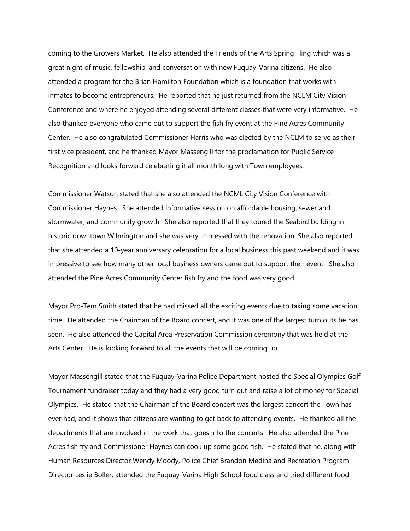coming to the Growers Market. He also attended the Friends of the Arts Spring Fling which was a great night of music, fellowship, and conversation with new Fuquay-Varina citizens. He also attended a program for the Brian Hamilton Foundation which is a foundation that works with inmates to become entrepreneurs. He reported that he just returned from the NCLM City Vision Conference and where he enjoyed attending several different classes that were very informative. He also thanked everyone who came out to support the fish fry event at the Pine Acres Community Center. He also congratulated Commissioner Harris who was elected by the NCLM to serve as their first vice president, and he thanked Mayor Massengill for the proclamation for Public Service Recognition and looks forward celebrating it all month long with Town employees.

Commissioner Watson stated that she also attended the NCML City Vision Conference with Commissioner Haynes. She attended informative session on affordable housing, sewer and stormwater, and community growth. She also reported that they toured the Seabird building in historic downtown Wilmington and she was very impressed with the renovation. She also reported that she attended a 10-year anniversary celebration for a local business this past weekend and it was impressive to see how many other local business owners came out to support their event. She also attended the Pine Acres Community Center fish fry and the food was very good.

Mayor Pro-Tem Smith stated that he had missed all the exciting events due to taking some vacation time. He attended the Chairman of the Board concert, and it was one of the largest turn outs he has seen. He also attended the Capital Area Preservation Commission ceremony that was held at the Arts Center. He is looking forward to all the events that will be coming up.

Mayor Massengill stated that the Fuquay-Varina Police Department hosted the Special Olympics Golf Tournament fundraiser today and they had a very good turn out and raise a lot of money for Special Olympics. He stated that the Chairman of the Board concert was the largest concert the Town has ever had, and it shows that citizens are wanting to get back to attending events. He thanked all the departments that are involved in the work that goes into the concerts. He also attended the Pine Acres fish fry and Commissioner Haynes can cook up some good fish. He stated that he, along with Human Resources Director Wendy Moody, Police Chief Brandon Medina and Recreation Program Director Leslie Boller, attended the Fuquay-Varina High School food class and tried different food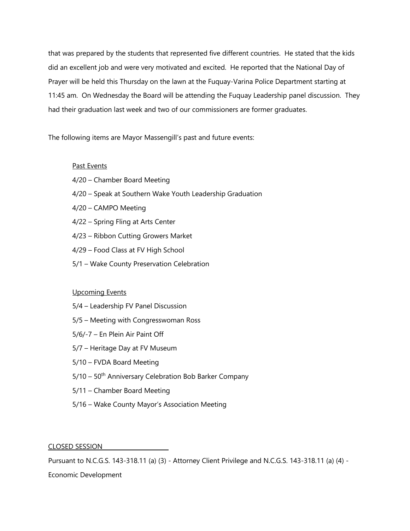that was prepared by the students that represented five different countries. He stated that the kids did an excellent job and were very motivated and excited. He reported that the National Day of Prayer will be held this Thursday on the lawn at the Fuquay-Varina Police Department starting at 11:45 am. On Wednesday the Board will be attending the Fuquay Leadership panel discussion. They had their graduation last week and two of our commissioners are former graduates.

The following items are Mayor Massengill's past and future events:

# Past Events

- 4/20 Chamber Board Meeting
- 4/20 Speak at Southern Wake Youth Leadership Graduation
- 4/20 CAMPO Meeting
- 4/22 Spring Fling at Arts Center
- 4/23 Ribbon Cutting Growers Market
- 4/29 Food Class at FV High School
- 5/1 Wake County Preservation Celebration

## Upcoming Events

- 5/4 Leadership FV Panel Discussion
- 5/5 Meeting with Congresswoman Ross
- 5/6/-7 En Plein Air Paint Off
- 5/7 Heritage Day at FV Museum
- 5/10 FVDA Board Meeting
- $5/10 50$ <sup>th</sup> Anniversary Celebration Bob Barker Company
- 5/11 Chamber Board Meeting
- 5/16 Wake County Mayor's Association Meeting

CLOSED SESSION

Pursuant to N.C.G.S. 143-318.11 (a) (3) - Attorney Client Privilege and N.C.G.S. 143-318.11 (a) (4) -

Economic Development